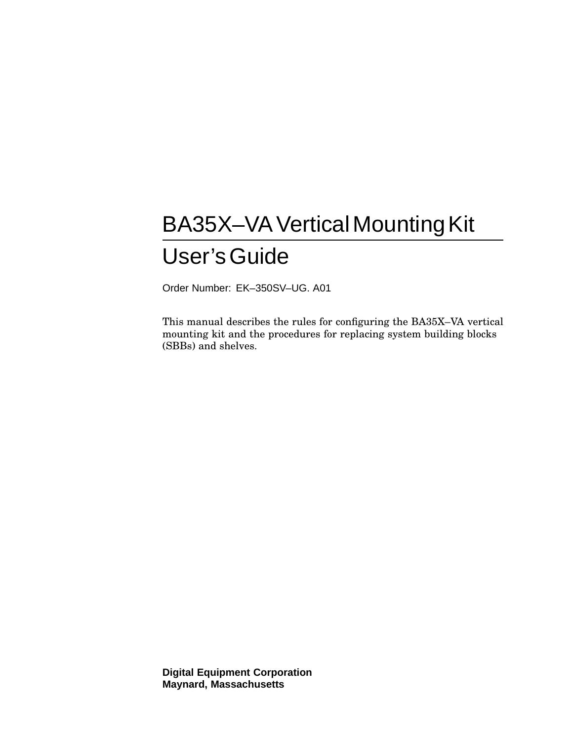# BA35X-VA Vertical Mounting Kit User'sGuide

Order Number: EK–350SV–UG. A01

This manual describes the rules for configuring the BA35X–VA vertical mounting kit and the procedures for replacing system building blocks (SBBs) and shelves.

**Digital Equipment Corporation Maynard, Massachusetts**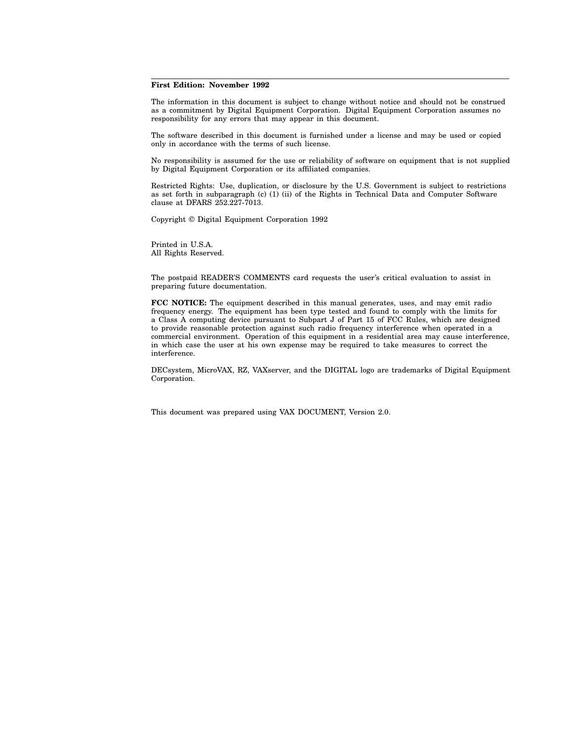#### **First Edition: November 1992**

The information in this document is subject to change without notice and should not be construed as a commitment by Digital Equipment Corporation. Digital Equipment Corporation assumes no responsibility for any errors that may appear in this document.

The software described in this document is furnished under a license and may be used or copied only in accordance with the terms of such license.

No responsibility is assumed for the use or reliability of software on equipment that is not supplied by Digital Equipment Corporation or its affiliated companies.

Restricted Rights: Use, duplication, or disclosure by the U.S. Government is subject to restrictions as set forth in subparagraph (c) (1) (ii) of the Rights in Technical Data and Computer Software clause at DFARS 252.227-7013.

Copyright © Digital Equipment Corporation 1992

Printed in U.S.A. All Rights Reserved.

The postpaid READER'S COMMENTS card requests the user's critical evaluation to assist in preparing future documentation.

**FCC NOTICE:** The equipment described in this manual generates, uses, and may emit radio frequency energy. The equipment has been type tested and found to comply with the limits for a Class A computing device pursuant to Subpart J of Part 15 of FCC Rules, which are designed to provide reasonable protection against such radio frequency interference when operated in a commercial environment. Operation of this equipment in a residential area may cause interference, in which case the user at his own expense may be required to take measures to correct the interference.

DECsystem, MicroVAX, RZ, VAXserver, and the DIGITAL logo are trademarks of Digital Equipment Corporation.

This document was prepared using VAX DOCUMENT, Version 2.0.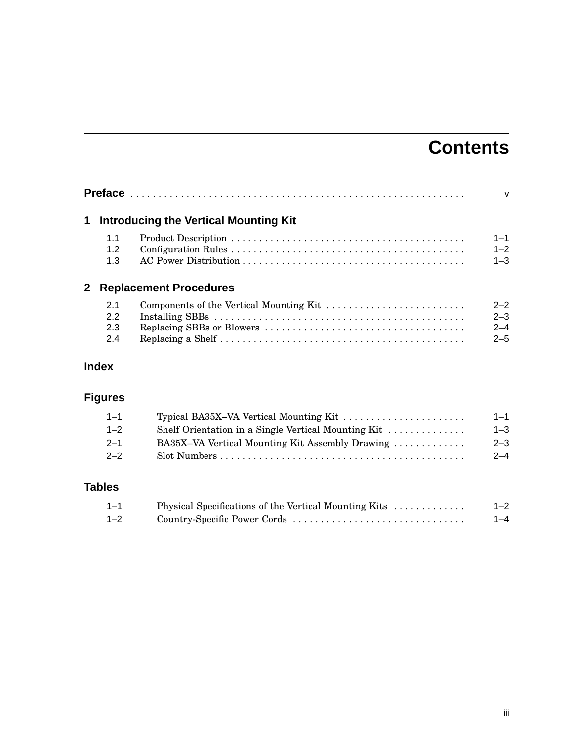## **Contents**

|     |                                              | $\mathsf{V}$ |
|-----|----------------------------------------------|--------------|
|     | <b>Introducing the Vertical Mounting Kit</b> |              |
| 1.1 |                                              | $1 - 1$      |
| 1.2 |                                              | $1 - 2$      |
| 1.3 |                                              | $1 - 3$      |
|     | <b>Replacement Procedures</b>                |              |
| 2.1 | Components of the Vertical Mounting Kit      | $2 - 2$      |
| 2.2 |                                              | $2 - 3$      |
| 2.3 |                                              | $2 - 4$      |
| 2.4 |                                              | $2 - 5$      |

## **Index**

## **Figures**

| $1 - 3$ |
|---------|
| $2 - 3$ |
| $2 - 4$ |
|         |

## **Tables**

| $1 - 1$ | Physical Specifications of the Vertical Mounting Kits | $1 - 2$ |
|---------|-------------------------------------------------------|---------|
| $1 - 2$ | Country-Specific Power Cords                          | $1 - 4$ |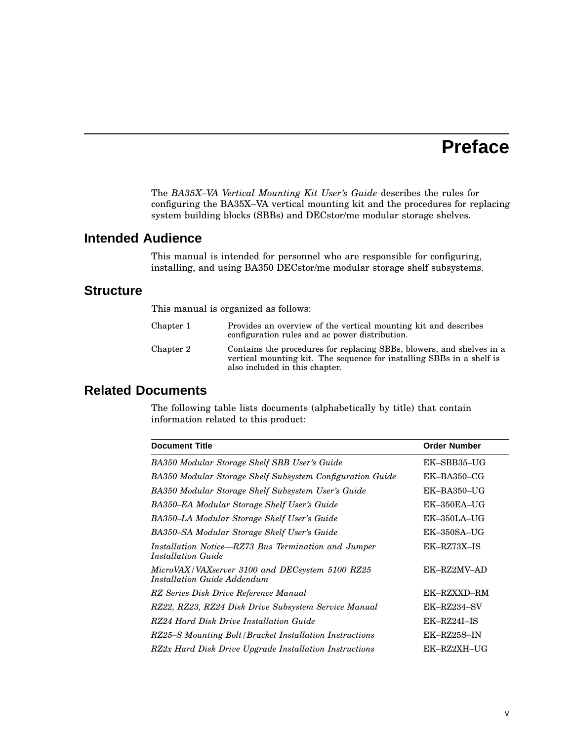## **Preface**

The *BA35X–VA Vertical Mounting Kit User's Guide* describes the rules for configuring the BA35X–VA vertical mounting kit and the procedures for replacing system building blocks (SBBs) and DECstor/me modular storage shelves.

#### **Intended Audience**

This manual is intended for personnel who are responsible for configuring, installing, and using BA350 DECstor/me modular storage shelf subsystems.

#### **Structure**

This manual is organized as follows:

| Chapter 1 | Provides an overview of the vertical mounting kit and describes<br>configuration rules and ac power distribution.                                                                |
|-----------|----------------------------------------------------------------------------------------------------------------------------------------------------------------------------------|
| Chapter 2 | Contains the procedures for replacing SBBs, blowers, and shelves in a<br>vertical mounting kit. The sequence for installing SBBs in a shelf is<br>also included in this chapter. |

### **Related Documents**

The following table lists documents (alphabetically by title) that contain information related to this product:

| <b>Document Title</b>                                                                 | <b>Order Number</b> |
|---------------------------------------------------------------------------------------|---------------------|
| BA350 Modular Storage Shelf SBB User's Guide                                          | EK-SBB35-UG         |
| BA350 Modular Storage Shelf Subsystem Configuration Guide                             | $EK-BA350-CG$       |
| BA350 Modular Storage Shelf Subsystem User's Guide                                    | $EK-BA350-UG$       |
| BA350-EA Modular Storage Shelf User's Guide                                           | $EK-350EA-UG$       |
| BA350–LA Modular Storage Shelf User's Guide                                           | $EK-350LA-UG$       |
| BA350-SA Modular Storage Shelf User's Guide                                           | $EK-350SA-UG$       |
| Installation Notice—RZ73 Bus Termination and Jumper<br>Installation Guide             | EK-RZ73X-IS         |
| MicroVAX/VAXserver 3100 and DECsystem 5100 RZ25<br><i>Installation Guide Addendum</i> | EK-RZ2MV-AD         |
| RZ Series Disk Drive Reference Manual                                                 | EK-RZXXD-RM         |
| RZ22, RZ23, RZ24 Disk Drive Subsystem Service Manual                                  | EK-RZ234-SV         |
| RZ24 Hard Disk Drive Installation Guide                                               | EK-RZ24I-IS         |
| RZ25-S Mounting Bolt/Bracket Installation Instructions                                | EK-RZ25S-IN         |
| RZ2x Hard Disk Drive Upgrade Installation Instructions                                | EK-RZ2XH-UG         |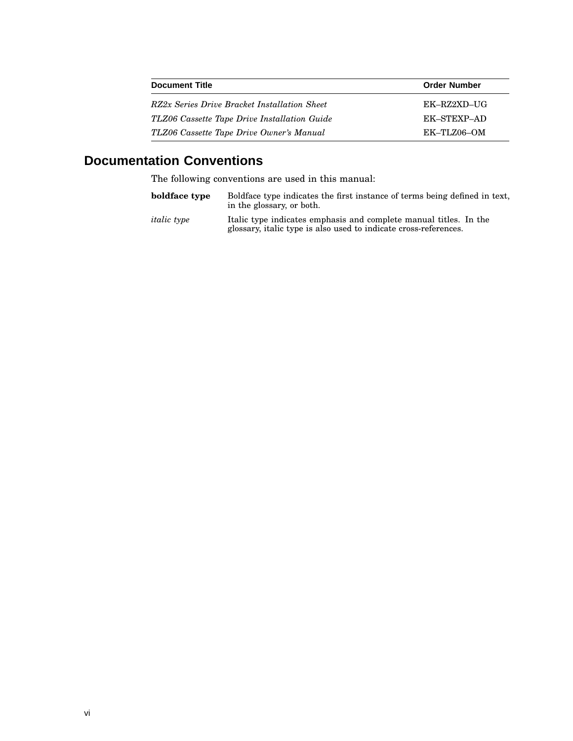| <b>Document Title</b>                        | <b>Order Number</b> |
|----------------------------------------------|---------------------|
| RZ2x Series Drive Bracket Installation Sheet | EK-RZ2XD-UG         |
| TLZ06 Cassette Tape Drive Installation Guide | EK-STEXP-AD         |
| TLZ06 Cassette Tape Drive Owner's Manual     | EK–TLZ06–OM         |

## **Documentation Conventions**

The following conventions are used in this manual:

| boldface type      | Boldface type indicates the first instance of terms being defined in text,<br>in the glossary, or both.                               |
|--------------------|---------------------------------------------------------------------------------------------------------------------------------------|
| <i>italic</i> type | Italic type indicates emphasis and complete manual titles. In the<br>glossary, italic type is also used to indicate cross-references. |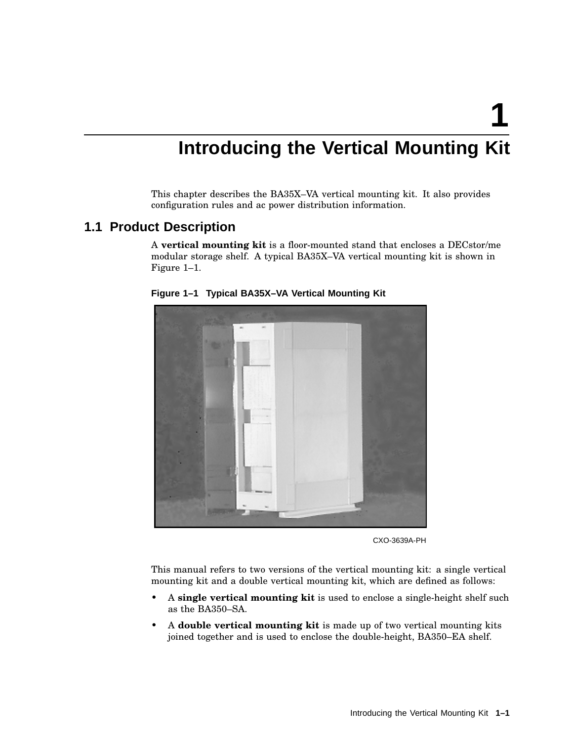**1**

## **Introducing the Vertical Mounting Kit**

This chapter describes the BA35X–VA vertical mounting kit. It also provides configuration rules and ac power distribution information.

#### **1.1 Product Description**

A **vertical mounting kit** is a floor-mounted stand that encloses a DECstor/me modular storage shelf. A typical BA35X–VA vertical mounting kit is shown in Figure 1–1.



**Figure 1–1 Typical BA35X–VA Vertical Mounting Kit**

CXO-3639A-PH

This manual refers to two versions of the vertical mounting kit: a single vertical mounting kit and a double vertical mounting kit, which are defined as follows:

- A **single vertical mounting kit** is used to enclose a single-height shelf such as the BA350–SA.
- A **double vertical mounting kit** is made up of two vertical mounting kits joined together and is used to enclose the double-height, BA350–EA shelf.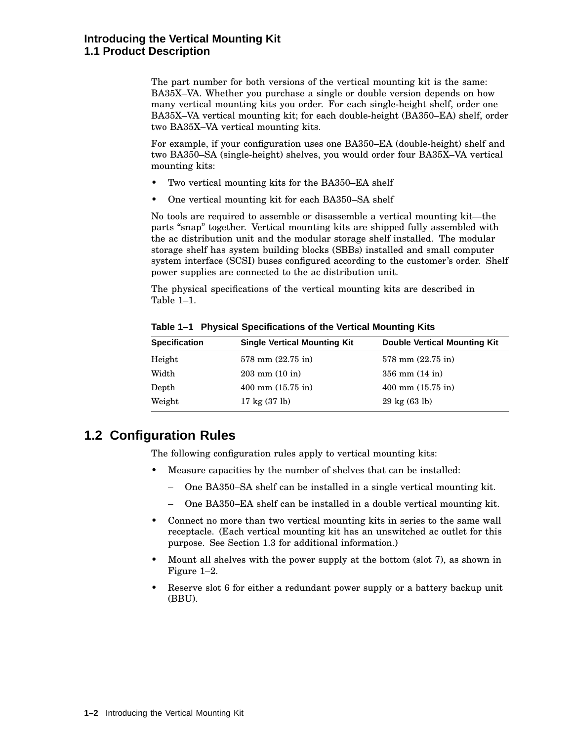#### **Introducing the Vertical Mounting Kit 1.1 Product Description**

The part number for both versions of the vertical mounting kit is the same: BA35X–VA. Whether you purchase a single or double version depends on how many vertical mounting kits you order. For each single-height shelf, order one BA35X–VA vertical mounting kit; for each double-height (BA350–EA) shelf, order two BA35X–VA vertical mounting kits.

For example, if your configuration uses one BA350–EA (double-height) shelf and two BA350–SA (single-height) shelves, you would order four BA35X–VA vertical mounting kits:

- Two vertical mounting kits for the BA350–EA shelf
- One vertical mounting kit for each BA350–SA shelf

No tools are required to assemble or disassemble a vertical mounting kit—the parts ''snap'' together. Vertical mounting kits are shipped fully assembled with the ac distribution unit and the modular storage shelf installed. The modular storage shelf has system building blocks (SBBs) installed and small computer system interface (SCSI) buses configured according to the customer's order. Shelf power supplies are connected to the ac distribution unit.

The physical specifications of the vertical mounting kits are described in Table 1–1.

| <b>Specification</b> | <b>Single Vertical Mounting Kit</b>   | <b>Double Vertical Mounting Kit</b> |
|----------------------|---------------------------------------|-------------------------------------|
| Height               | $578$ mm $(22.75$ in)                 | $578$ mm $(22.75$ in)               |
| Width                | $203 \text{ mm} (10 \text{ in})$      | $356 \text{ mm} (14 \text{ in})$    |
| Depth                | $400 \text{ mm}$ $(15.75 \text{ in})$ | $400$ mm $(15.75$ in)               |
| Weight               | $17 \text{ kg} (37 \text{ lb})$       | $29 \text{ kg} (63 \text{ lb})$     |

**Table 1–1 Physical Specifications of the Vertical Mounting Kits**

### **1.2 Configuration Rules**

The following configuration rules apply to vertical mounting kits:

- Measure capacities by the number of shelves that can be installed:
	- One BA350–SA shelf can be installed in a single vertical mounting kit.
	- One BA350–EA shelf can be installed in a double vertical mounting kit.
- Connect no more than two vertical mounting kits in series to the same wall receptacle. (Each vertical mounting kit has an unswitched ac outlet for this purpose. See Section 1.3 for additional information.)
- Mount all shelves with the power supply at the bottom (slot 7), as shown in Figure 1–2.
- Reserve slot 6 for either a redundant power supply or a battery backup unit (BBU).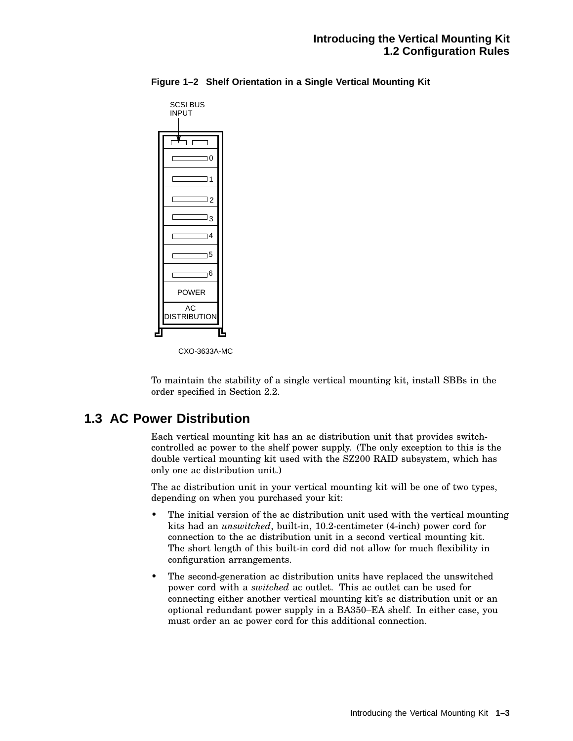| SCSI BUS<br><b>INPUT</b>   |  |
|----------------------------|--|
|                            |  |
| $\Box$                     |  |
| $\Box$ 1                   |  |
| $\overline{\phantom{0}}$ 2 |  |
| $\Box_3$                   |  |
| $\neg$ 4                   |  |
| $\overline{\phantom{0}}$ 5 |  |
| ٦6                         |  |
| <b>POWER</b>               |  |
| AC<br><b>DISTRIBUTION</b>  |  |
|                            |  |

**Figure 1–2 Shelf Orientation in a Single Vertical Mounting Kit**

To maintain the stability of a single vertical mounting kit, install SBBs in the order specified in Section 2.2.

#### **1.3 AC Power Distribution**

Each vertical mounting kit has an ac distribution unit that provides switchcontrolled ac power to the shelf power supply. (The only exception to this is the double vertical mounting kit used with the SZ200 RAID subsystem, which has only one ac distribution unit.)

The ac distribution unit in your vertical mounting kit will be one of two types, depending on when you purchased your kit:

- The initial version of the ac distribution unit used with the vertical mounting kits had an *unswitched*, built-in, 10.2-centimeter (4-inch) power cord for connection to the ac distribution unit in a second vertical mounting kit. The short length of this built-in cord did not allow for much flexibility in configuration arrangements.
- The second-generation ac distribution units have replaced the unswitched power cord with a *switched* ac outlet. This ac outlet can be used for connecting either another vertical mounting kit's ac distribution unit or an optional redundant power supply in a BA350–EA shelf. In either case, you must order an ac power cord for this additional connection.

CXO-3633A-MC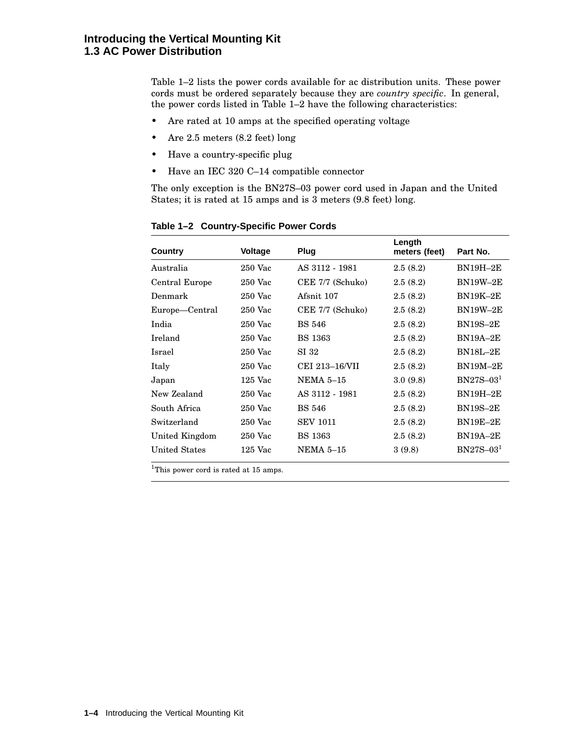Table 1–2 lists the power cords available for ac distribution units. These power cords must be ordered separately because they are *country specific*. In general, the power cords listed in Table 1–2 have the following characteristics:

- Are rated at 10 amps at the specified operating voltage
- Are 2.5 meters (8.2 feet) long
- Have a country-specific plug
- Have an IEC 320 C–14 compatible connector

The only exception is the BN27S–03 power cord used in Japan and the United States; it is rated at 15 amps and is 3 meters (9.8 feet) long.

| Country              | <b>Voltage</b> | Plug             | Length<br>meters (feet) | Part No.        |
|----------------------|----------------|------------------|-------------------------|-----------------|
| Australia            | $250$ Vac      | AS 3112 - 1981   | 2.5(8.2)                | $BN19H-2E$      |
| Central Europe       | $250$ Vac      | CEE 7/7 (Schuko) | 2.5(8.2)                | <b>BN19W-2E</b> |
| Denmark              | $250$ Vac      | Afsnit 107       | 2.5(8.2)                | $BN19K-2E$      |
| Europe—Central       | $250$ Vac      | CEE 7/7 (Schuko) | 2.5(8.2)                | <b>BN19W-2E</b> |
| India                | $250$ Vac      | <b>BS 546</b>    | 2.5(8.2)                | <b>BN19S-2E</b> |
| Ireland              | 250 Vac        | <b>BS</b> 1363   | 2.5(8.2)                | <b>BN19A-2E</b> |
| Israel               | $250$ Vac      | SI 32            | 2.5(8.2)                | <b>BN18L-2E</b> |
| Italy                | $250$ Vac      | CEI 213-16/VII   | 2.5(8.2)                | $BN19M-2E$      |
| Japan                | $125$ Vac      | <b>NEMA 5–15</b> | 3.0(9.8)                | $BN27S-031$     |
| New Zealand          | $250$ Vac      | AS 3112 - 1981   | 2.5(8.2)                | $BN19H-2E$      |
| South Africa         | $250$ Vac      | <b>BS 546</b>    | 2.5(8.2)                | <b>BN19S-2E</b> |
| Switzerland          | 250 Vac        | <b>SEV 1011</b>  | 2.5(8.2)                | $BN19E-2E$      |
| United Kingdom       | 250 Vac        | <b>BS</b> 1363   | 2.5(8.2)                | $BN19A-2E$      |
| <b>United States</b> | $125$ Vac      | <b>NEMA 5–15</b> | 3(9.8)                  | $BN27S-031$     |

**Table 1–2 Country-Specific Power Cords**

<sup>1</sup>This power cord is rated at 15 amps.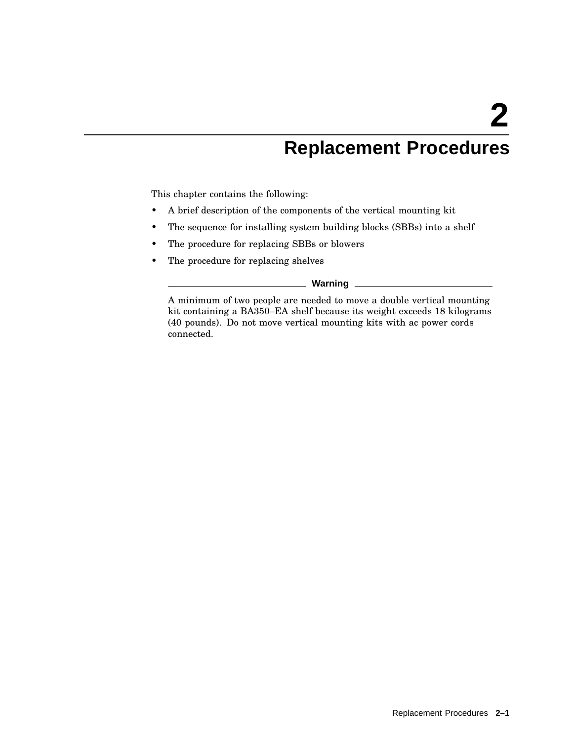## **Replacement Procedures**

This chapter contains the following:

- A brief description of the components of the vertical mounting kit
- The sequence for installing system building blocks (SBBs) into a shelf
- The procedure for replacing SBBs or blowers
- The procedure for replacing shelves

**Warning**

A minimum of two people are needed to move a double vertical mounting kit containing a BA350–EA shelf because its weight exceeds 18 kilograms (40 pounds). Do not move vertical mounting kits with ac power cords connected.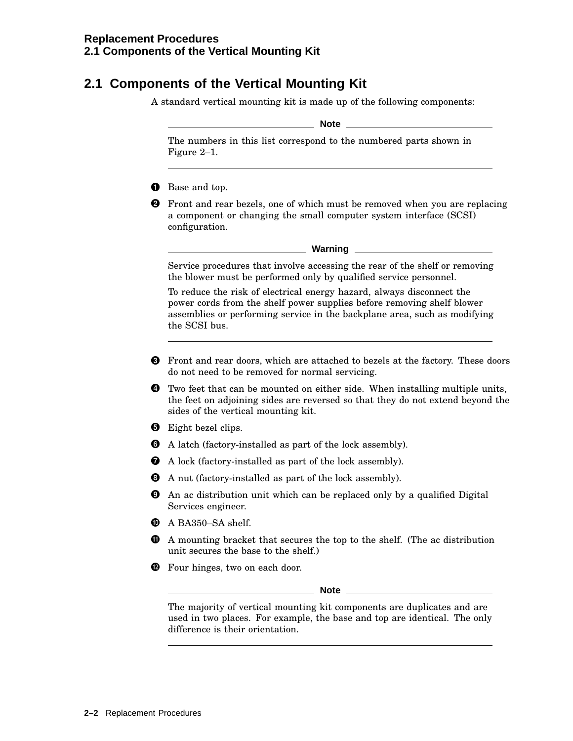## **2.1 Components of the Vertical Mounting Kit**

A standard vertical mounting kit is made up of the following components:

**Note**

The numbers in this list correspond to the numbered parts shown in Figure 2–1.

- **O** Base and top.
- **2** Front and rear bezels, one of which must be removed when you are replacing a component or changing the small computer system interface (SCSI) configuration.

Service procedures that involve accessing the rear of the shelf or removing the blower must be performed only by qualified service personnel.

To reduce the risk of electrical energy hazard, always disconnect the power cords from the shelf power supplies before removing shelf blower assemblies or performing service in the backplane area, such as modifying the SCSI bus.

- **O** Front and rear doors, which are attached to bezels at the factory. These doors do not need to be removed for normal servicing.
- **O** Two feet that can be mounted on either side. When installing multiple units, the feet on adjoining sides are reversed so that they do not extend beyond the sides of the vertical mounting kit.
- **O** Eight bezel clips.
- A latch (factory-installed as part of the lock assembly).
- A lock (factory-installed as part of the lock assembly).
- A nut (factory-installed as part of the lock assembly).
- An ac distribution unit which can be replaced only by a qualified Digital Services engineer.
- $\bullet$  A BA350-SA shelf.
- $\Phi$  A mounting bracket that secures the top to the shelf. (The ac distribution unit secures the base to the shelf.)
- **<sup>1</sup>** Four hinges, two on each door.

**Note**

The majority of vertical mounting kit components are duplicates and are used in two places. For example, the base and top are identical. The only difference is their orientation.

**Warning** \_\_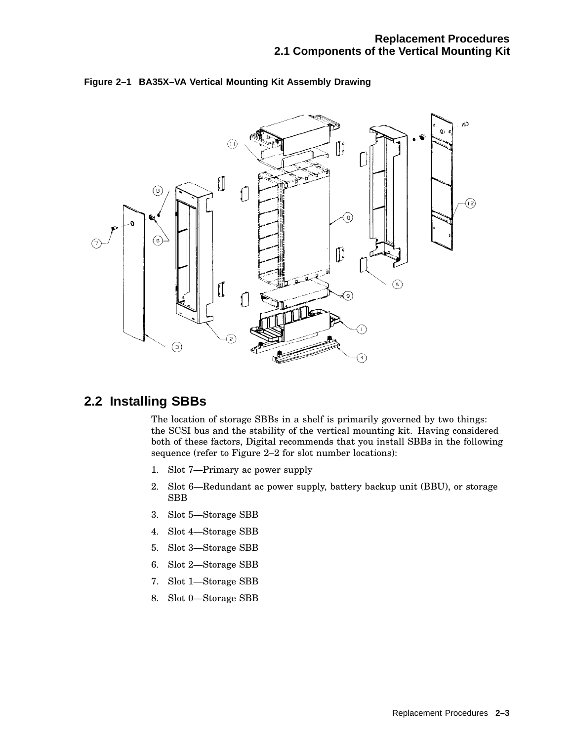

#### **Figure 2–1 BA35X–VA Vertical Mounting Kit Assembly Drawing**

#### **2.2 Installing SBBs**

The location of storage SBBs in a shelf is primarily governed by two things: the SCSI bus and the stability of the vertical mounting kit. Having considered both of these factors, Digital recommends that you install SBBs in the following sequence (refer to Figure 2–2 for slot number locations):

- 1. Slot 7—Primary ac power supply
- 2. Slot 6—Redundant ac power supply, battery backup unit (BBU), or storage SBB
- 3. Slot 5—Storage SBB
- 4. Slot 4—Storage SBB
- 5. Slot 3—Storage SBB
- 6. Slot 2—Storage SBB
- 7. Slot 1—Storage SBB
- 8. Slot 0—Storage SBB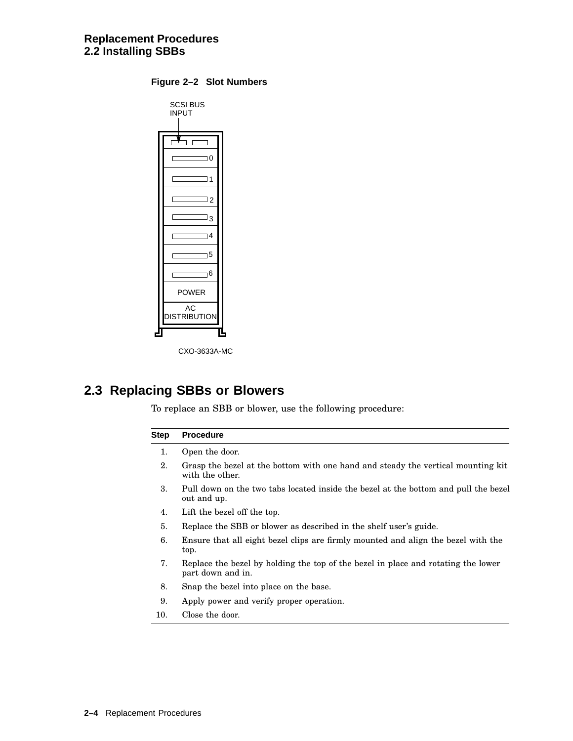| SCSI BUS<br><b>INPUT</b>           |  |  |
|------------------------------------|--|--|
|                                    |  |  |
| $\overline{0}$                     |  |  |
| $\overline{1}$                     |  |  |
| $\Box$ 2                           |  |  |
| Jз                                 |  |  |
| 14                                 |  |  |
| 15                                 |  |  |
| 16                                 |  |  |
| <b>POWER</b>                       |  |  |
| $\mathsf{AC}$<br><b>STRIBUTION</b> |  |  |
|                                    |  |  |

**Figure 2–2 Slot Numbers**



### **2.3 Replacing SBBs or Blowers**

To replace an SBB or blower, use the following procedure:

#### **Step Procedure** 1. Open the door. 2. Grasp the bezel at the bottom with one hand and steady the vertical mounting kit with the other. 3. Pull down on the two tabs located inside the bezel at the bottom and pull the bezel out and up. 4. Lift the bezel off the top. 5. Replace the SBB or blower as described in the shelf user's guide. 6. Ensure that all eight bezel clips are firmly mounted and align the bezel with the top.

- 7. Replace the bezel by holding the top of the bezel in place and rotating the lower part down and in.
- 8. Snap the bezel into place on the base.
- 9. Apply power and verify proper operation.
- 10. Close the door.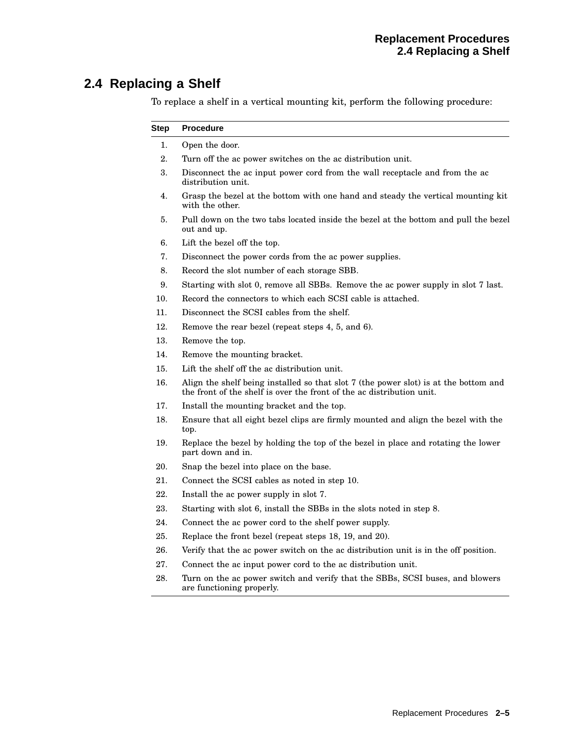## **2.4 Replacing a Shelf**

To replace a shelf in a vertical mounting kit, perform the following procedure:

| Step | <b>Procedure</b>                                                                                                                                              |  |  |  |
|------|---------------------------------------------------------------------------------------------------------------------------------------------------------------|--|--|--|
| 1.   | Open the door.                                                                                                                                                |  |  |  |
| 2.   | Turn off the ac power switches on the ac distribution unit.                                                                                                   |  |  |  |
| 3.   | Disconnect the ac input power cord from the wall receptacle and from the ac<br>distribution unit.                                                             |  |  |  |
| 4.   | Grasp the bezel at the bottom with one hand and steady the vertical mounting kit<br>with the other.                                                           |  |  |  |
| 5.   | Pull down on the two tabs located inside the bezel at the bottom and pull the bezel<br>out and up.                                                            |  |  |  |
| 6.   | Lift the bezel off the top.                                                                                                                                   |  |  |  |
| 7.   | Disconnect the power cords from the ac power supplies.                                                                                                        |  |  |  |
| 8.   | Record the slot number of each storage SBB.                                                                                                                   |  |  |  |
| 9.   | Starting with slot 0, remove all SBBs. Remove the ac power supply in slot 7 last.                                                                             |  |  |  |
| 10.  | Record the connectors to which each SCSI cable is attached.                                                                                                   |  |  |  |
| 11.  | Disconnect the SCSI cables from the shelf.                                                                                                                    |  |  |  |
| 12.  | Remove the rear bezel (repeat steps 4, 5, and 6).                                                                                                             |  |  |  |
| 13.  | Remove the top.                                                                                                                                               |  |  |  |
| 14.  | Remove the mounting bracket.                                                                                                                                  |  |  |  |
| 15.  | Lift the shelf off the ac distribution unit.                                                                                                                  |  |  |  |
| 16.  | Align the shelf being installed so that slot 7 (the power slot) is at the bottom and<br>the front of the shelf is over the front of the ac distribution unit. |  |  |  |
| 17.  | Install the mounting bracket and the top.                                                                                                                     |  |  |  |
| 18.  | Ensure that all eight bezel clips are firmly mounted and align the bezel with the<br>top.                                                                     |  |  |  |
| 19.  | Replace the bezel by holding the top of the bezel in place and rotating the lower<br>part down and in.                                                        |  |  |  |
| 20.  | Snap the bezel into place on the base.                                                                                                                        |  |  |  |
| 21.  | Connect the SCSI cables as noted in step 10.                                                                                                                  |  |  |  |
| 22.  | Install the ac power supply in slot 7.                                                                                                                        |  |  |  |
| 23.  | Starting with slot 6, install the SBBs in the slots noted in step 8.                                                                                          |  |  |  |
| 24.  | Connect the ac power cord to the shelf power supply.                                                                                                          |  |  |  |
| 25.  | Replace the front bezel (repeat steps 18, 19, and 20).                                                                                                        |  |  |  |
| 26.  | Verify that the ac power switch on the ac distribution unit is in the off position.                                                                           |  |  |  |
| 27.  | Connect the ac input power cord to the ac distribution unit.                                                                                                  |  |  |  |
| 28.  | Turn on the ac power switch and verify that the SBBs, SCSI buses, and blowers<br>are functioning properly.                                                    |  |  |  |